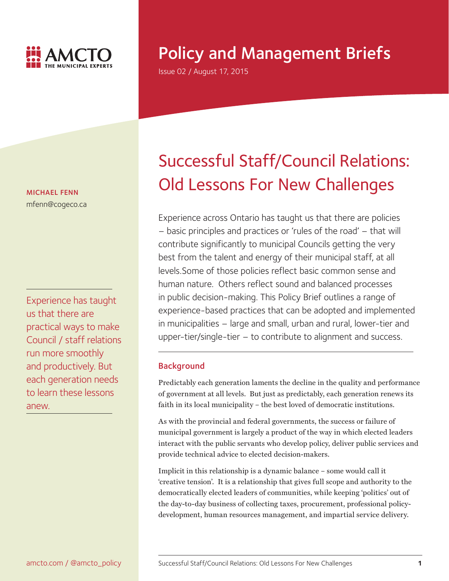

# Policy and Management Briefs

Issue 02 / August 17, 2015

MICHAEL FENN mfenn@cogeco.ca

Experience has taught us that there are practical ways to make Council / staff relations run more smoothly and productively. But each generation needs to learn these lessons anew.

# Successful Staff/Council Relations: Old Lessons For New Challenges

Experience across Ontario has taught us that there are policies – basic principles and practices or 'rules of the road' – that will contribute significantly to municipal Councils getting the very best from the talent and energy of their municipal staff, at all levels.Some of those policies reflect basic common sense and human nature. Others reflect sound and balanced processes in public decision-making. This Policy Brief outlines a range of experience-based practices that can be adopted and implemented in municipalities – large and small, urban and rural, lower-tier and upper-tier/single-tier – to contribute to alignment and success.

# **Background**

Predictably each generation laments the decline in the quality and performance of government at all levels. But just as predictably, each generation renews its faith in its local municipality – the best loved of democratic institutions.

As with the provincial and federal governments, the success or failure of municipal government is largely a product of the way in which elected leaders interact with the public servants who develop policy, deliver public services and provide technical advice to elected decision-makers.

Implicit in this relationship is a dynamic balance – some would call it 'creative tension'. It is a relationship that gives full scope and authority to the democratically elected leaders of communities, while keeping 'politics' out of the day-to-day business of collecting taxes, procurement, professional policydevelopment, human resources management, and impartial service delivery.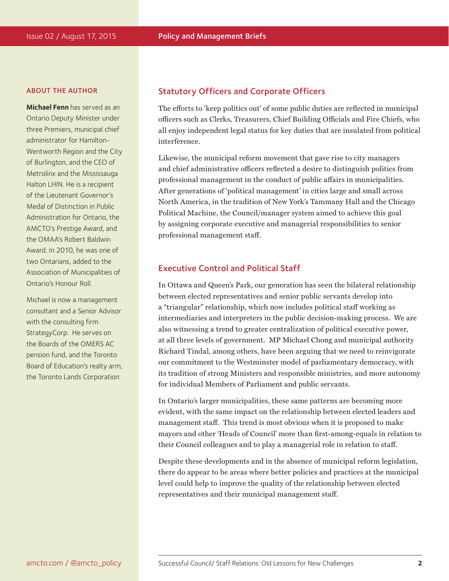#### ABOUT THE AUTHOR

**Michael Fenn** has served as an Ontario Deputy Minister under three Premiers, municipal chief administrator for Hamilton-Wentworth Region and the City of Burlington, and the CEO of Metrolinx and the Mississauga Halton LHIN. He is a recipient of the Lieutenant Governor's Medal of Distinction in Public Administration for Ontario, the AMCTO's Prestige Award, and the OMAA's Robert Baldwin Award. In 2010, he was one of two Ontarians, added to the Association of Municipalities of Ontario's Honour Roll.

Michael is now a management consultant and a Senior Advisor with the consulting firm StrategyCorp. He serves on the Boards of the OMERS AC pension fund, and the Toronto Board of Education's realty arm, the Toronto Lands Corporation.

### Statutory Officers and Corporate Officers

The efforts to 'keep politics out' of some public duties are reflected in municipal officers such as Clerks, Treasurers, Chief Building Officials and Fire Chiefs, who all enjoy independent legal status for key duties that are insulated from political interference.

Likewise, the municipal reform movement that gave rise to city managers and chief administrative officers reflected a desire to distinguish politics from professional management in the conduct of public affairs in municipalities. After generations of 'political management' in cities large and small across North America, in the tradition of New York's Tammany Hall and the Chicago Political Machine, the Council/manager system aimed to achieve this goal by assigning corporate executive and managerial responsibilities to senior professional management staff.

# Executive Control and Political Staff

In Ottawa and Queen's Park, our generation has seen the bilateral relationship between elected representatives and senior public servants develop into a "triangular" relationship, which now includes political staff working as intermediaries and interpreters in the public decision-making process. We are also witnessing a trend to greater centralization of political executive power, at all three levels of government. MP Michael Chong and municipal authority Richard Tindal, among others, have been arguing that we need to reinvigorate our commitment to the Westminster model of parliamentary democracy, with its tradition of strong Ministers and responsible ministries, and more autonomy for individual Members of Parliament and public servants.

In Ontario's larger municipalities, these same patterns are becoming more evident, with the same impact on the relationship between elected leaders and management staff. This trend is most obvious when it is proposed to make mayors and other 'Heads of Council' more than first-among-equals in relation to their Council colleagues and to play a managerial role in relation to staff.

Despite these developments and in the absence of municipal reform legislation, there do appear to be areas where better policies and practices at the municipal level could help to improve the quality of the relationship between elected representatives and their municipal management staff.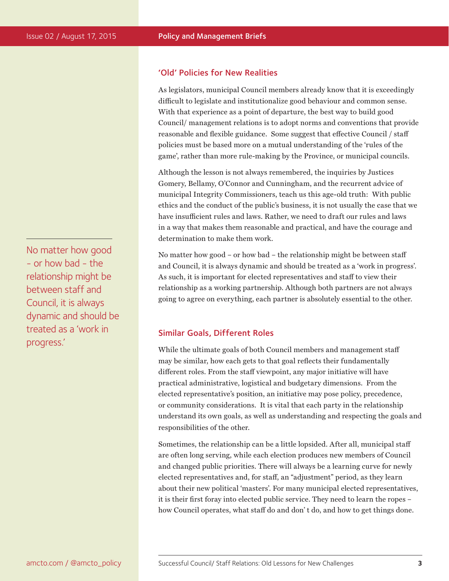# No matter how good - or how bad - the relationship might be between staff and Council, it is always dynamic and should be treated as a 'work in progress.'

# 'Old' Policies for New Realities

As legislators, municipal Council members already know that it is exceedingly difficult to legislate and institutionalize good behaviour and common sense. With that experience as a point of departure, the best way to build good Council/ management relations is to adopt norms and conventions that provide reasonable and flexible guidance. Some suggest that effective Council / staff policies must be based more on a mutual understanding of the 'rules of the game', rather than more rule-making by the Province, or municipal councils.

Although the lesson is not always remembered, the inquiries by Justices Gomery, Bellamy, O'Connor and Cunningham, and the recurrent advice of municipal Integrity Commissioners, teach us this age-old truth: With public ethics and the conduct of the public's business, it is not usually the case that we have insufficient rules and laws. Rather, we need to draft our rules and laws in a way that makes them reasonable and practical, and have the courage and determination to make them work.

No matter how good – or how bad – the relationship might be between staff and Council, it is always dynamic and should be treated as a 'work in progress'. As such, it is important for elected representatives and staff to view their relationship as a working partnership. Although both partners are not always going to agree on everything, each partner is absolutely essential to the other.

# Similar Goals, Different Roles

While the ultimate goals of both Council members and management staff may be similar, how each gets to that goal reflects their fundamentally different roles. From the staff viewpoint, any major initiative will have practical administrative, logistical and budgetary dimensions. From the elected representative's position, an initiative may pose policy, precedence, or community considerations. It is vital that each party in the relationship understand its own goals, as well as understanding and respecting the goals and responsibilities of the other.

Sometimes, the relationship can be a little lopsided. After all, municipal staff are often long serving, while each election produces new members of Council and changed public priorities. There will always be a learning curve for newly elected representatives and, for staff, an "adjustment" period, as they learn about their new political 'masters'. For many municipal elected representatives, it is their first foray into elected public service. They need to learn the ropes – how Council operates, what staff do and don' t do, and how to get things done.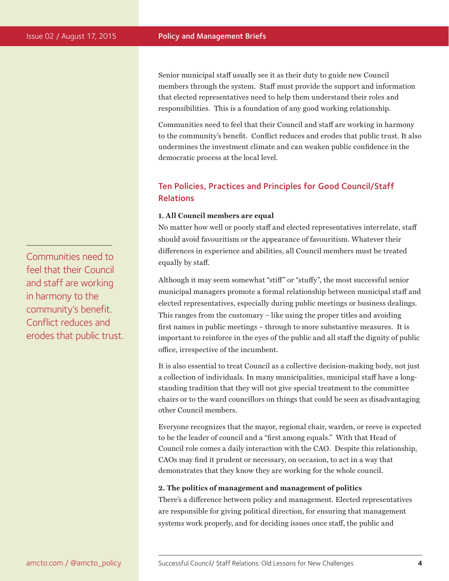Senior municipal staff usually see it as their duty to guide new Council members through the system. Staff must provide the support and information that elected representatives need to help them understand their roles and responsibilities. This is a foundation of any good working relationship.

Communities need to feel that their Council and staff are working in harmony to the community's benefit. Conflict reduces and erodes that public trust. It also undermines the investment climate and can weaken public confidence in the democratic process at the local level.

# Ten Policies, Practices and Principles for Good Council/Staff Relations

#### **1. All Council members are equal**

No matter how well or poorly staff and elected representatives interrelate, staff should avoid favouritism or the appearance of favouritism. Whatever their differences in experience and abilities, all Council members must be treated equally by staff.

Although it may seem somewhat "stiff" or "stuffy", the most successful senior municipal managers promote a formal relationship between municipal staff and elected representatives, especially during public meetings or business dealings. This ranges from the customary – like using the proper titles and avoiding first names in public meetings – through to more substantive measures. It is important to reinforce in the eyes of the public and all staff the dignity of public office, irrespective of the incumbent.

It is also essential to treat Council as a collective decision-making body, not just a collection of individuals. In many municipalities, municipal staff have a longstanding tradition that they will not give special treatment to the committee chairs or to the ward councillors on things that could be seen as disadvantaging other Council members.

Everyone recognizes that the mayor, regional chair, warden, or reeve is expected to be the leader of council and a "first among equals." With that Head of Council role comes a daily interaction with the CAO. Despite this relationship, CAOs may find it prudent or necessary, on occasion, to act in a way that demonstrates that they know they are working for the whole council.

#### **2. The politics of management and management of politics**

There's a difference between policy and management. Elected representatives are responsible for giving political direction, for ensuring that management systems work properly, and for deciding issues once staff, the public and

Communities need to feel that their Council and staff are working in harmony to the community's benefit. Conflict reduces and erodes that public trust.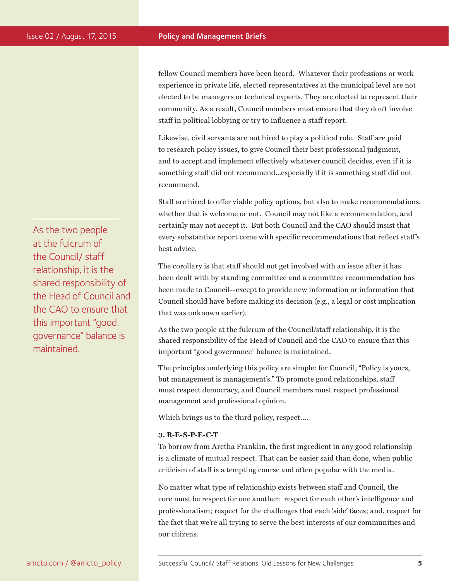fellow Council members have been heard. Whatever their professions or work experience in private life, elected representatives at the municipal level are not elected to be managers or technical experts. They are elected to represent their community. As a result, Council members must ensure that they don't involve staff in political lobbying or try to influence a staff report.

Likewise, civil servants are not hired to play a political role. Staff are paid to research policy issues, to give Council their best professional judgment, and to accept and implement effectively whatever council decides, even if it is something staff did not recommend...especially if it is something staff did not recommend.

Staff are hired to offer viable policy options, but also to make recommendations, whether that is welcome or not. Council may not like a recommendation, and certainly may not accept it. But both Council and the CAO should insist that every substantive report come with specific recommendations that reflect staff's best advice.

The corollary is that staff should not get involved with an issue after it has been dealt with by standing committee and a committee recommendation has been made to Council--except to provide new information or information that Council should have before making its decision (e.g., a legal or cost implication that was unknown earlier).

As the two people at the fulcrum of the Council/staff relationship, it is the shared responsibility of the Head of Council and the CAO to ensure that this important "good governance" balance is maintained.

The principles underlying this policy are simple: for Council, "Policy is yours, but management is management's." To promote good relationships, staff must respect democracy, and Council members must respect professional management and professional opinion.

Which brings us to the third policy, respect….

#### **3. R-E-S-P-E-C-T**

To borrow from Aretha Franklin, the first ingredient in any good relationship is a climate of mutual respect. That can be easier said than done, when public criticism of staff is a tempting course and often popular with the media.

No matter what type of relationship exists between staff and Council, the core must be respect for one another: respect for each other's intelligence and professionalism; respect for the challenges that each 'side' faces; and, respect for the fact that we're all trying to serve the best interests of our communities and our citizens.

As the two people at the fulcrum of the Council/ staff relationship, it is the shared responsibility of the Head of Council and the CAO to ensure that this important "good governance" balance is maintained.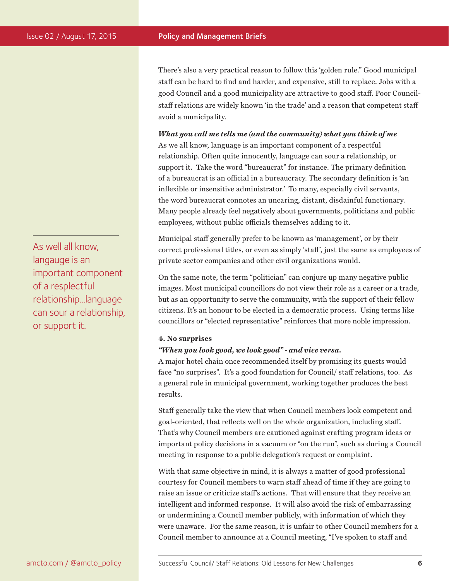There's also a very practical reason to follow this 'golden rule." Good municipal staff can be hard to find and harder, and expensive, still to replace. Jobs with a good Council and a good municipality are attractive to good staff. Poor Councilstaff relations are widely known 'in the trade' and a reason that competent staff avoid a municipality.

*What you call me tells me (and the community) what you think of me* As we all know, language is an important component of a respectful relationship. Often quite innocently, language can sour a relationship, or support it. Take the word "bureaucrat" for instance. The primary definition of a bureaucrat is an official in a bureaucracy. The secondary definition is 'an inflexible or insensitive administrator.' To many, especially civil servants, the word bureaucrat connotes an uncaring, distant, disdainful functionary. Many people already feel negatively about governments, politicians and public employees, without public officials themselves adding to it.

Municipal staff generally prefer to be known as 'management', or by their correct professional titles, or even as simply 'staff', just the same as employees of private sector companies and other civil organizations would.

On the same note, the term "politician" can conjure up many negative public images. Most municipal councillors do not view their role as a career or a trade, but as an opportunity to serve the community, with the support of their fellow citizens. It's an honour to be elected in a democratic process. Using terms like councillors or "elected representative" reinforces that more noble impression.

#### **4. No surprises**

#### *"When you look good, we look good" - and vice versa.*

A major hotel chain once recommended itself by promising its guests would face "no surprises". It's a good foundation for Council/ staff relations, too. As a general rule in municipal government, working together produces the best results.

Staff generally take the view that when Council members look competent and goal-oriented, that reflects well on the whole organization, including staff. That's why Council members are cautioned against crafting program ideas or important policy decisions in a vacuum or "on the run", such as during a Council meeting in response to a public delegation's request or complaint.

With that same objective in mind, it is always a matter of good professional courtesy for Council members to warn staff ahead of time if they are going to raise an issue or criticize staff's actions. That will ensure that they receive an intelligent and informed response. It will also avoid the risk of embarrassing or undermining a Council member publicly, with information of which they were unaware. For the same reason, it is unfair to other Council members for a Council member to announce at a Council meeting, "I've spoken to staff and

As well all know, langauge is an important component of a resplectful relationship...language can sour a relationship, or support it.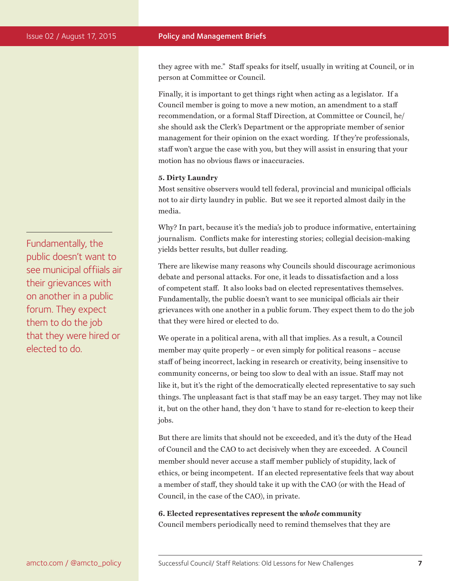they agree with me." Staff speaks for itself, usually in writing at Council, or in person at Committee or Council.

Finally, it is important to get things right when acting as a legislator. If a Council member is going to move a new motion, an amendment to a staff recommendation, or a formal Staff Direction, at Committee or Council, he/ she should ask the Clerk's Department or the appropriate member of senior management for their opinion on the exact wording. If they're professionals, staff won't argue the case with you, but they will assist in ensuring that your motion has no obvious flaws or inaccuracies.

#### **5. Dirty Laundry**

Most sensitive observers would tell federal, provincial and municipal officials not to air dirty laundry in public. But we see it reported almost daily in the media.

Why? In part, because it's the media's job to produce informative, entertaining journalism. Conflicts make for interesting stories; collegial decision-making yields better results, but duller reading.

There are likewise many reasons why Councils should discourage acrimonious debate and personal attacks. For one, it leads to dissatisfaction and a loss of competent staff. It also looks bad on elected representatives themselves. Fundamentally, the public doesn't want to see municipal officials air their grievances with one another in a public forum. They expect them to do the job that they were hired or elected to do.

We operate in a political arena, with all that implies. As a result, a Council member may quite properly – or even simply for political reasons – accuse staff of being incorrect, lacking in research or creativity, being insensitive to community concerns, or being too slow to deal with an issue. Staff may not like it, but it's the right of the democratically elected representative to say such things. The unpleasant fact is that staff may be an easy target. They may not like it, but on the other hand, they don 't have to stand for re-election to keep their jobs.

But there are limits that should not be exceeded, and it's the duty of the Head of Council and the CAO to act decisively when they are exceeded. A Council member should never accuse a staff member publicly of stupidity, lack of ethics, or being incompetent. If an elected representative feels that way about a member of staff, they should take it up with the CAO (or with the Head of Council, in the case of the CAO), in private.

**6. Elected representatives represent the** *whole* **community**  Council members periodically need to remind themselves that they are

Fundamentally, the public doesn't want to see municipal offiials air their grievances with on another in a public forum. They expect them to do the job that they were hired or elected to do.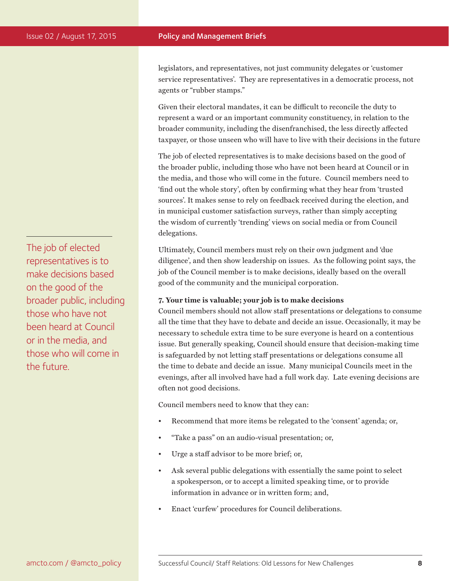The job of elected representatives is to make decisions based on the good of the broader public, including those who have not been heard at Council or in the media, and those who will come in the future.

legislators, and representatives, not just community delegates or 'customer service representatives'. They are representatives in a democratic process, not agents or "rubber stamps."

Given their electoral mandates, it can be difficult to reconcile the duty to represent a ward or an important community constituency, in relation to the broader community, including the disenfranchised, the less directly affected taxpayer, or those unseen who will have to live with their decisions in the future

The job of elected representatives is to make decisions based on the good of the broader public, including those who have not been heard at Council or in the media, and those who will come in the future. Council members need to 'find out the whole story', often by confirming what they hear from 'trusted sources'. It makes sense to rely on feedback received during the election, and in municipal customer satisfaction surveys, rather than simply accepting the wisdom of currently 'trending' views on social media or from Council delegations.

Ultimately, Council members must rely on their own judgment and 'due diligence', and then show leadership on issues. As the following point says, the job of the Council member is to make decisions, ideally based on the overall good of the community and the municipal corporation.

#### **7. Your time is valuable; your job is to make decisions**

Council members should not allow staff presentations or delegations to consume all the time that they have to debate and decide an issue. Occasionally, it may be necessary to schedule extra time to be sure everyone is heard on a contentious issue. But generally speaking, Council should ensure that decision-making time is safeguarded by not letting staff presentations or delegations consume all the time to debate and decide an issue. Many municipal Councils meet in the evenings, after all involved have had a full work day. Late evening decisions are often not good decisions.

Council members need to know that they can:

- Recommend that more items be relegated to the 'consent' agenda; or,
- "Take a pass" on an audio-visual presentation; or,
- Urge a staff advisor to be more brief; or,
- Ask several public delegations with essentially the same point to select a spokesperson, or to accept a limited speaking time, or to provide information in advance or in written form; and,
- Enact 'curfew' procedures for Council deliberations.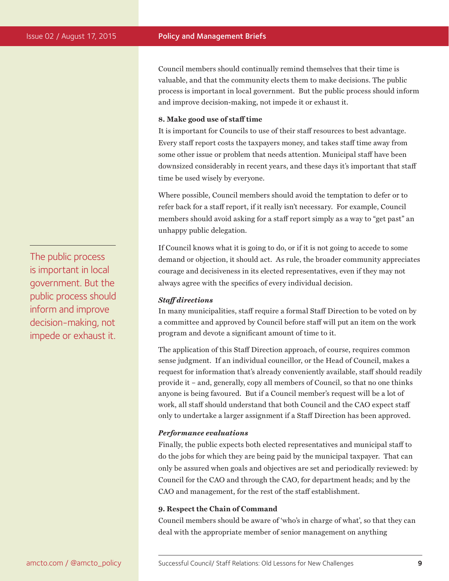Council members should continually remind themselves that their time is valuable, and that the community elects them to make decisions. The public process is important in local government. But the public process should inform and improve decision-making, not impede it or exhaust it.

#### **8. Make good use of staff time**

It is important for Councils to use of their staff resources to best advantage. Every staff report costs the taxpayers money, and takes staff time away from some other issue or problem that needs attention. Municipal staff have been downsized considerably in recent years, and these days it's important that staff time be used wisely by everyone.

Where possible, Council members should avoid the temptation to defer or to refer back for a staff report, if it really isn't necessary. For example, Council members should avoid asking for a staff report simply as a way to "get past" an unhappy public delegation.

If Council knows what it is going to do, or if it is not going to accede to some demand or objection, it should act. As rule, the broader community appreciates courage and decisiveness in its elected representatives, even if they may not always agree with the specifics of every individual decision.

#### *Staff directions*

In many municipalities, staff require a formal Staff Direction to be voted on by a committee and approved by Council before staff will put an item on the work program and devote a significant amount of time to it.

The application of this Staff Direction approach, of course, requires common sense judgment. If an individual councillor, or the Head of Council, makes a request for information that's already conveniently available, staff should readily provide it – and, generally, copy all members of Council, so that no one thinks anyone is being favoured. But if a Council member's request will be a lot of work, all staff should understand that both Council and the CAO expect staff only to undertake a larger assignment if a Staff Direction has been approved.

#### *Performance evaluations*

Finally, the public expects both elected representatives and municipal staff to do the jobs for which they are being paid by the municipal taxpayer. That can only be assured when goals and objectives are set and periodically reviewed: by Council for the CAO and through the CAO, for department heads; and by the CAO and management, for the rest of the staff establishment.

#### **9. Respect the Chain of Command**

Council members should be aware of 'who's in charge of what', so that they can deal with the appropriate member of senior management on anything

The public process is important in local government. But the public process should inform and improve decision-making, not impede or exhaust it.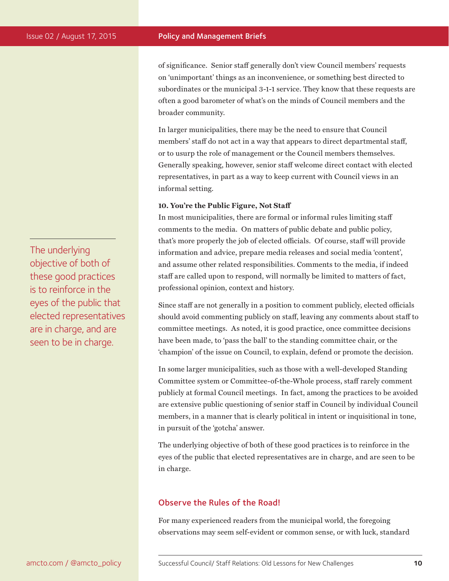of significance. Senior staff generally don't view Council members' requests on 'unimportant' things as an inconvenience, or something best directed to subordinates or the municipal 3-1-1 service. They know that these requests are often a good barometer of what's on the minds of Council members and the broader community.

In larger municipalities, there may be the need to ensure that Council members' staff do not act in a way that appears to direct departmental staff, or to usurp the role of management or the Council members themselves. Generally speaking, however, senior staff welcome direct contact with elected representatives, in part as a way to keep current with Council views in an informal setting.

#### **10. You're the Public Figure, Not Staff**

In most municipalities, there are formal or informal rules limiting staff comments to the media. On matters of public debate and public policy, that's more properly the job of elected officials. Of course, staff will provide information and advice, prepare media releases and social media 'content', and assume other related responsibilities. Comments to the media, if indeed staff are called upon to respond, will normally be limited to matters of fact, professional opinion, context and history.

Since staff are not generally in a position to comment publicly, elected officials should avoid commenting publicly on staff, leaving any comments about staff to committee meetings. As noted, it is good practice, once committee decisions have been made, to 'pass the ball' to the standing committee chair, or the 'champion' of the issue on Council, to explain, defend or promote the decision.

In some larger municipalities, such as those with a well-developed Standing Committee system or Committee-of-the-Whole process, staff rarely comment publicly at formal Council meetings. In fact, among the practices to be avoided are extensive public questioning of senior staff in Council by individual Council members, in a manner that is clearly political in intent or inquisitional in tone, in pursuit of the 'gotcha' answer.

The underlying objective of both of these good practices is to reinforce in the eyes of the public that elected representatives are in charge, and are seen to be in charge.

# Observe the Rules of the Road!

For many experienced readers from the municipal world, the foregoing observations may seem self-evident or common sense, or with luck, standard

The underlying objective of both of these good practices is to reinforce in the eyes of the public that elected representatives are in charge, and are seen to be in charge.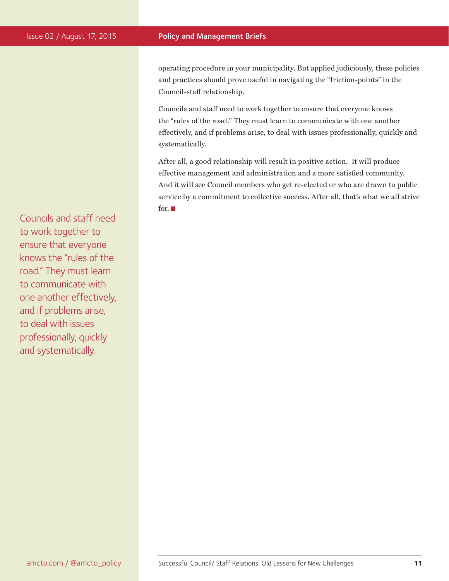operating procedure in your municipality. But applied judiciously, these policies and practices should prove useful in navigating the "friction-points" in the Council-staff relationship.

Councils and staff need to work together to ensure that everyone knows the "rules of the road.'' They must learn to communicate with one another effectively, and if problems arise, to deal with issues professionally, quickly and systematically.

After all, a good relationship will result in positive action. It will produce effective management and administration and a more satisfied community. And it will see Council members who get re-elected or who are drawn to public service by a commitment to collective success. After all, that's what we all strive for.

Councils and staff need to work together to ensure that everyone knows the "rules of the road." They must learn to communicate with one another effectively, and if problems arise, to deal with issues professionally, quickly and systematically.